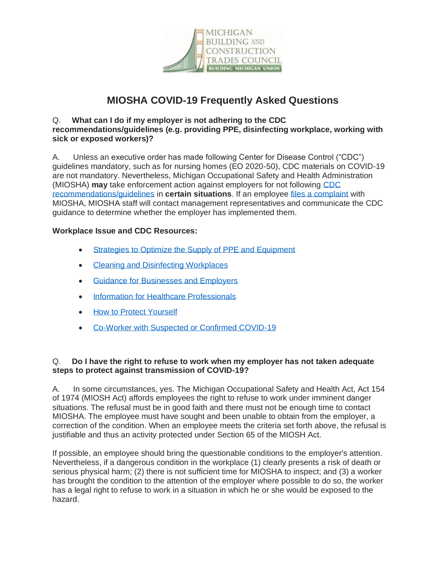

# **MIOSHA COVID-19 Frequently Asked Questions**

### Q. **What can I do if my employer is not adhering to the CDC recommendations/guidelines (e.g. providing PPE, disinfecting workplace, working with sick or exposed workers)?**

A. Unless an executive order has made following Center for Disease Control ("CDC") guidelines mandatory, such as for nursing homes (EO 2020-50), CDC materials on COVID-19 are not mandatory. Nevertheless, Michigan Occupational Safety and Health Administration (MIOSHA) **may** take enforcement action against employers for not following [CDC](https://www.cdc.gov/coronavirus/2019-ncov/prepare/disinfecting-building-facility.html)  [recommendations/guidelines](https://www.cdc.gov/coronavirus/2019-ncov/prepare/disinfecting-building-facility.html) in **certain situations**. If an employee [files a complaint](https://www.michigan.gov/leo/0,5863,7-336-78421_11407_15333-93835--,00.html) with MIOSHA, MIOSHA staff will contact management representatives and communicate the CDC guidance to determine whether the employer has implemented them.

## **Workplace Issue and CDC Resources:**

- [Strategies to Optimize the Supply of PPE and Equipment](https://www.cdc.gov/coronavirus/2019-ncov/hcp/ppe-strategy/index.html)
- [Cleaning and Disinfecting Workplaces](https://www.cdc.gov/coronavirus/2019-ncov/prepare/disinfecting-building-facility.html)
- [Guidance for Businesses and Employers](https://www.cdc.gov/coronavirus/2019-ncov/community/guidance-business-response.html)
- [Information for Healthcare Professionals](https://www.cdc.gov/coronavirus/2019-nCoV/hcp/index.html)
- [How to Protect Yourself](https://www.cdc.gov/coronavirus/2019-ncov/prevent-getting-sick/prevention.html)
- [Co-Worker with Suspected or Confirmed COVID-19](https://www.cdc.gov/coronavirus/2019-ncov/community/guidance-business-response.html)

## Q. **Do I have the right to refuse to work when my employer has not taken adequate steps to protect against transmission of COVID-19?**

A. In some circumstances, yes. The Michigan Occupational Safety and Health Act, Act 154 of 1974 (MIOSH Act) affords employees the right to refuse to work under imminent danger situations. The refusal must be in good faith and there must not be enough time to contact MIOSHA. The employee must have sought and been unable to obtain from the employer, a correction of the condition. When an employee meets the criteria set forth above, the refusal is justifiable and thus an activity protected under Section 65 of the MIOSH Act.

If possible, an employee should bring the questionable conditions to the employer's attention. Nevertheless, if a dangerous condition in the workplace (1) clearly presents a risk of death or serious physical harm; (2) there is not sufficient time for MIOSHA to inspect; and (3) a worker has brought the condition to the attention of the employer where possible to do so, the worker has a legal right to refuse to work in a situation in which he or she would be exposed to the hazard.